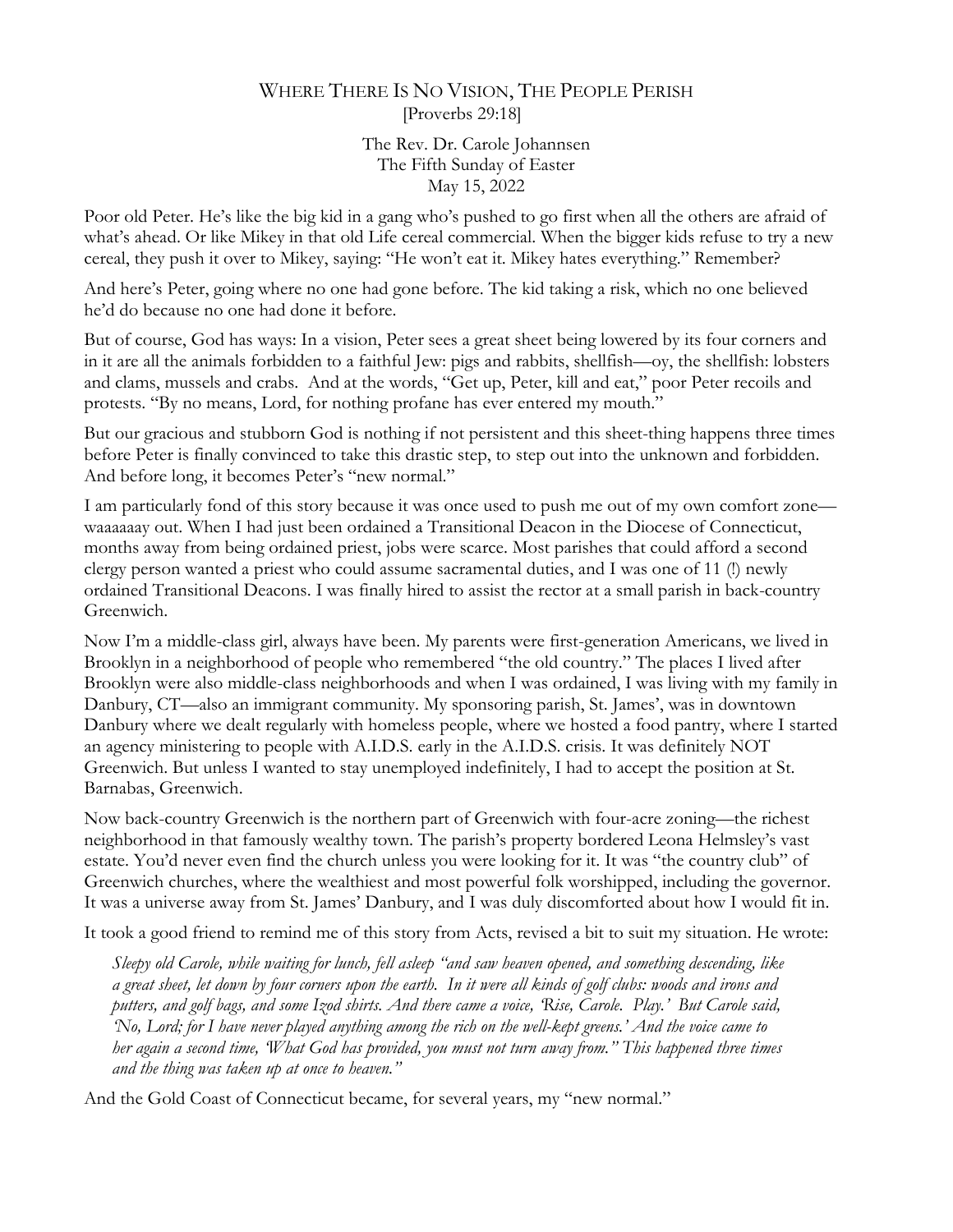## WHERE THERE IS NO VISION, THE PEOPLE PERISH [Proverbs 29:18]

The Rev. Dr. Carole Johannsen The Fifth Sunday of Easter May 15, 2022

Poor old Peter. He's like the big kid in a gang who's pushed to go first when all the others are afraid of what's ahead. Or like Mikey in that old Life cereal commercial. When the bigger kids refuse to try a new cereal, they push it over to Mikey, saying: "He won't eat it. Mikey hates everything." Remember?

And here's Peter, going where no one had gone before. The kid taking a risk, which no one believed he'd do because no one had done it before.

But of course, God has ways: In a vision, Peter sees a great sheet being lowered by its four corners and in it are all the animals forbidden to a faithful Jew: pigs and rabbits, shellfish—oy, the shellfish: lobsters and clams, mussels and crabs. And at the words, "Get up, Peter, kill and eat," poor Peter recoils and protests. "By no means, Lord, for nothing profane has ever entered my mouth."

But our gracious and stubborn God is nothing if not persistent and this sheet-thing happens three times before Peter is finally convinced to take this drastic step, to step out into the unknown and forbidden. And before long, it becomes Peter's "new normal."

I am particularly fond of this story because it was once used to push me out of my own comfort zone waaaaaay out. When I had just been ordained a Transitional Deacon in the Diocese of Connecticut, months away from being ordained priest, jobs were scarce. Most parishes that could afford a second clergy person wanted a priest who could assume sacramental duties, and I was one of 11 (!) newly ordained Transitional Deacons. I was finally hired to assist the rector at a small parish in back-country Greenwich.

Now I'm a middle-class girl, always have been. My parents were first-generation Americans, we lived in Brooklyn in a neighborhood of people who remembered "the old country." The places I lived after Brooklyn were also middle-class neighborhoods and when I was ordained, I was living with my family in Danbury, CT—also an immigrant community. My sponsoring parish, St. James', was in downtown Danbury where we dealt regularly with homeless people, where we hosted a food pantry, where I started an agency ministering to people with A.I.D.S. early in the A.I.D.S. crisis. It was definitely NOT Greenwich. But unless I wanted to stay unemployed indefinitely, I had to accept the position at St. Barnabas, Greenwich.

Now back-country Greenwich is the northern part of Greenwich with four-acre zoning—the richest neighborhood in that famously wealthy town. The parish's property bordered Leona Helmsley's vast estate. You'd never even find the church unless you were looking for it. It was "the country club" of Greenwich churches, where the wealthiest and most powerful folk worshipped, including the governor. It was a universe away from St. James' Danbury, and I was duly discomforted about how I would fit in.

It took a good friend to remind me of this story from Acts, revised a bit to suit my situation. He wrote:

*Sleepy old Carole, while waiting for lunch, fell asleep "and saw heaven opened, and something descending, like a great sheet, let down by four corners upon the earth. In it were all kinds of golf clubs: woods and irons and putters, and golf bags, and some Izod shirts. And there came a voice, 'Rise, Carole. Play.' But Carole said, 'No, Lord; for I have never played anything among the rich on the well-kept greens.' And the voice came to her again a second time, 'What God has provided, you must not turn away from." This happened three times and the thing was taken up at once to heaven."*

And the Gold Coast of Connecticut became, for several years, my "new normal."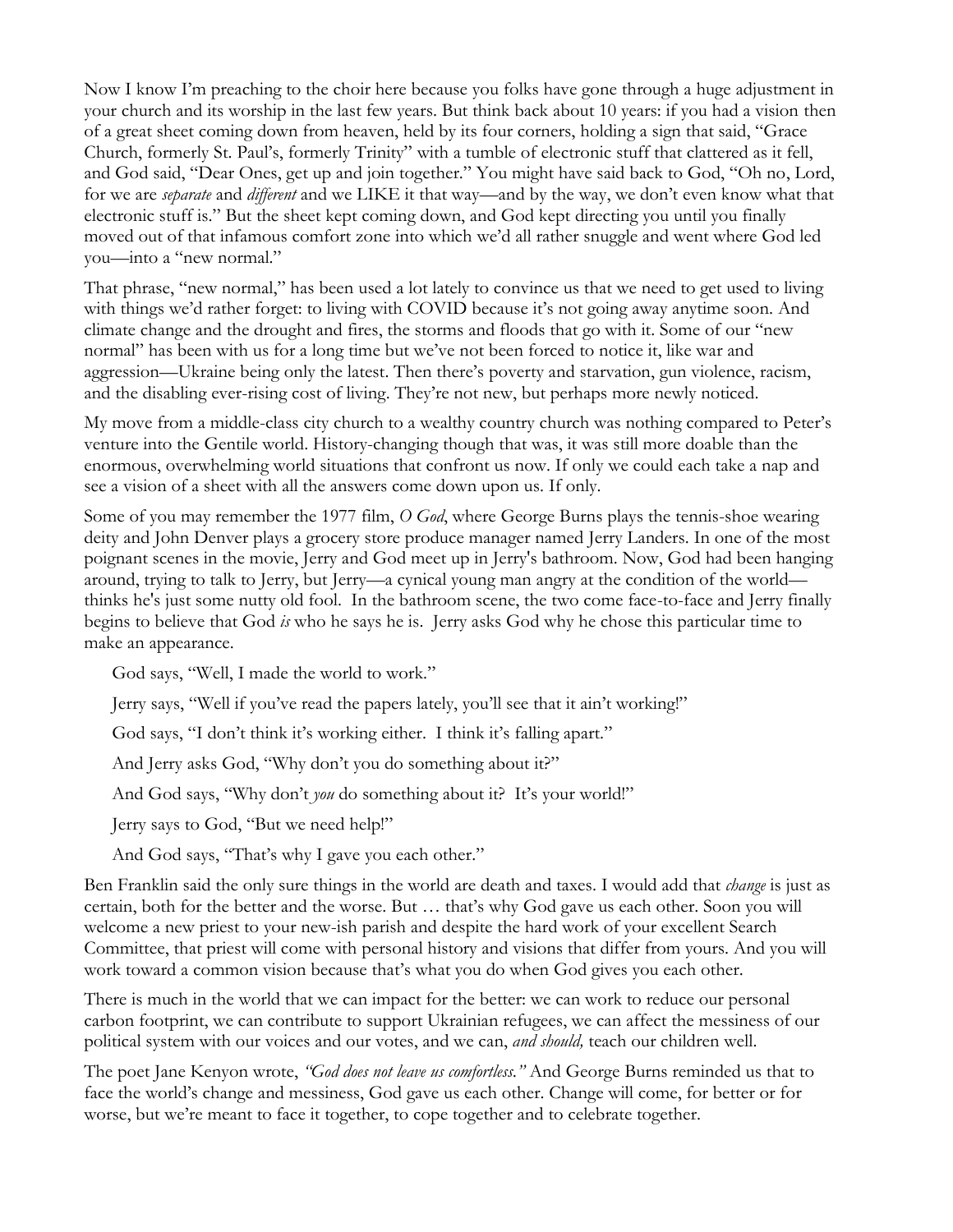Now I know I'm preaching to the choir here because you folks have gone through a huge adjustment in your church and its worship in the last few years. But think back about 10 years: if you had a vision then of a great sheet coming down from heaven, held by its four corners, holding a sign that said, "Grace Church, formerly St. Paul's, formerly Trinity" with a tumble of electronic stuff that clattered as it fell, and God said, "Dear Ones, get up and join together." You might have said back to God, "Oh no, Lord, for we are *separate* and *different* and we LIKE it that way—and by the way, we don't even know what that electronic stuff is." But the sheet kept coming down, and God kept directing you until you finally moved out of that infamous comfort zone into which we'd all rather snuggle and went where God led you—into a "new normal."

That phrase, "new normal," has been used a lot lately to convince us that we need to get used to living with things we'd rather forget: to living with COVID because it's not going away anytime soon. And climate change and the drought and fires, the storms and floods that go with it. Some of our "new normal" has been with us for a long time but we've not been forced to notice it, like war and aggression—Ukraine being only the latest. Then there's poverty and starvation, gun violence, racism, and the disabling ever-rising cost of living. They're not new, but perhaps more newly noticed.

My move from a middle-class city church to a wealthy country church was nothing compared to Peter's venture into the Gentile world. History-changing though that was, it was still more doable than the enormous, overwhelming world situations that confront us now. If only we could each take a nap and see a vision of a sheet with all the answers come down upon us. If only.

Some of you may remember the 1977 film, *O God*, where George Burns plays the tennis-shoe wearing deity and John Denver plays a grocery store produce manager named Jerry Landers. In one of the most poignant scenes in the movie, Jerry and God meet up in Jerry's bathroom. Now, God had been hanging around, trying to talk to Jerry, but Jerry—a cynical young man angry at the condition of the world thinks he's just some nutty old fool. In the bathroom scene, the two come face-to-face and Jerry finally begins to believe that God *is* who he says he is. Jerry asks God why he chose this particular time to make an appearance.

God says, "Well, I made the world to work."

Jerry says, "Well if you've read the papers lately, you'll see that it ain't working!"

God says, "I don't think it's working either. I think it's falling apart."

And Jerry asks God, "Why don't you do something about it?"

And God says, "Why don't *you* do something about it? It's your world!"

Jerry says to God, "But we need help!"

And God says, "That's why I gave you each other."

Ben Franklin said the only sure things in the world are death and taxes. I would add that *change* is just as certain, both for the better and the worse. But … that's why God gave us each other. Soon you will welcome a new priest to your new-ish parish and despite the hard work of your excellent Search Committee, that priest will come with personal history and visions that differ from yours. And you will work toward a common vision because that's what you do when God gives you each other.

There is much in the world that we can impact for the better: we can work to reduce our personal carbon footprint, we can contribute to support Ukrainian refugees, we can affect the messiness of our political system with our voices and our votes, and we can, *and should,* teach our children well.

The poet Jane Kenyon wrote, *"God does not leave us comfortless."* And George Burns reminded us that to face the world's change and messiness, God gave us each other. Change will come, for better or for worse, but we're meant to face it together, to cope together and to celebrate together.